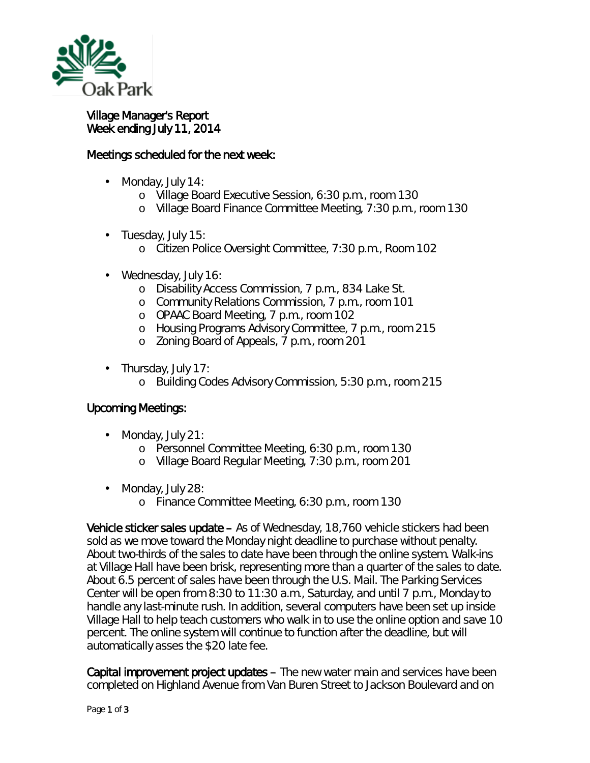

## Village Manager's Report Week ending July 11, 2014

## Meetings scheduled for the next week:

- Monday, July 14:
	- o Village Board Executive Session, 6:30 p.m., room 130
	- o Village Board Finance Committee Meeting, 7:30 p.m., room 130
- Tuesday, July 15: ä,
	- o Citizen Police Oversight Committee, 7:30 p.m., Room 102
- Wednesday, July 16:
	- o Disability Access Commission, 7 p.m., 834 Lake St.
	- o Community Relations Commission, 7 p.m., room 101
	- o OPAAC Board Meeting, 7 p.m., room 102
	- o Housing Programs Advisory Committee, 7 p.m., room 215
	- o Zoning Board of Appeals, 7 p.m., room 201
- . Thursday, July 17:
	- o Building Codes Advisory Commission, 5:30 p.m., room 215

## Upcoming Meetings:

- Monday, July 21:
	- o Personnel Committee Meeting, 6:30 p.m., room 130
	- o Village Board Regular Meeting, 7:30 p.m., room 201
- Monday, July 28:  $\mathbf{r}$ 
	- o Finance Committee Meeting, 6:30 p.m., room 130

Vehicle sticker sales update – As of Wednesday, 18,760 vehicle stickers had been sold as we move toward the Monday night deadline to purchase without penalty. About two-thirds of the sales to date have been through the online system. Walk-ins at Village Hall have been brisk, representing more than a quarter of the sales to date. About 6.5 percent of sales have been through the U.S. Mail. The Parking Services Center will be open from 8:30 to 11:30 a.m., Saturday, and until 7 p.m., Monday to handle any last-minute rush. In addition, several computers have been set up inside Village Hall to help teach customers who walk in to use the online option and save 10 percent. The online system will continue to function after the deadline, but will automatically asses the \$20 late fee.

Capital improvement project updates – The new water main and services have been completed on Highland Avenue from Van Buren Street to Jackson Boulevard and on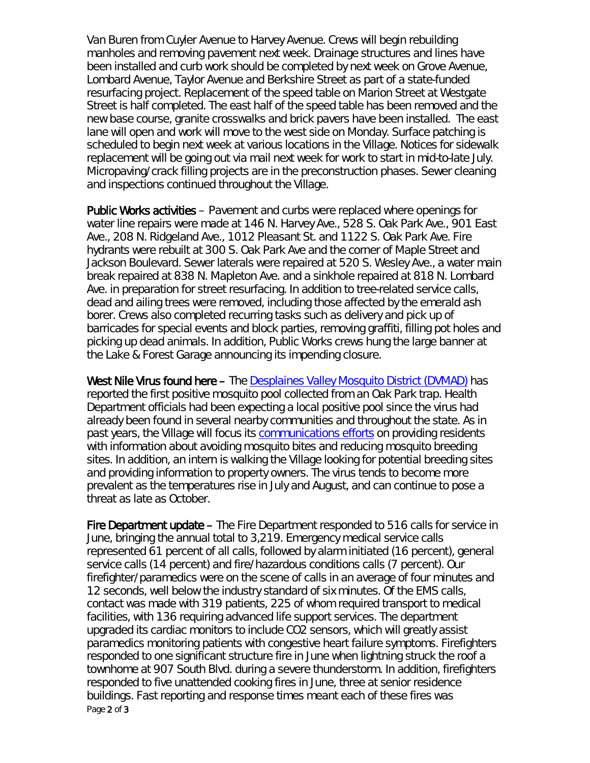Van Buren from Cuyler Avenue to Harvey Avenue. Crews will begin rebuilding manholes and removing pavement next week. Drainage structures and lines have been installed and curb work should be completed by next week on Grove Avenue, Lombard Avenue, Taylor Avenue and Berkshire Street as part of a state-funded resurfacing project. Replacement of the speed table on Marion Street at Westgate Street is half completed. The east half of the speed table has been removed and the new base course, granite crosswalks and brick pavers have been installed. The east lane will open and work will move to the west side on Monday. Surface patching is scheduled to begin next week at various locations in the Village. Notices for sidewalk replacement will be going out via mail next week for work to start in mid-to-late July. Micropaving/crack filling projects are in the preconstruction phases. Sewer cleaning and inspections continued throughout the Village.

Public Works activities – Pavement and curbs were replaced where openings for water line repairs were made at 146 N. Harvey Ave., 528 S. Oak Park Ave., 901 East Ave., 208 N. Ridgeland Ave., 1012 Pleasant St. and 1122 S. Oak Park Ave. Fire hydrants were rebuilt at 300 S. Oak Park Ave and the corner of Maple Street and Jackson Boulevard. Sewer laterals were repaired at 520 S. Wesley Ave., a water main break repaired at 838 N. Mapleton Ave. and a sinkhole repaired at 818 N. Lombard Ave. in preparation for street resurfacing. In addition to tree-related service calls, dead and ailing trees were removed, including those affected by the emerald ash borer. Crews also completed recurring tasks such as delivery and pick up of barricades for special events and block parties, removing graffiti, filling pot holes and picking up dead animals. In addition, Public Works crews hung the large banner at the Lake & Forest Garage announcing its impending closure.

West Nile Virus found here – The [Desplaines Valley Mosquito District \(DVMAD\)](http://www.desplainesvalleymad.com/) has reported the first positive mosquito pool collected from an Oak Park trap. Health Department officials had been expecting a local positive pool since the virus had already been found in several nearby communities and throughout the state. As in past years, the Village will focus its [communications efforts](http://www.oak-park.us/village-services/health-department/west-nile-virus) on providing residents with information about avoiding mosquito bites and reducing mosquito breeding sites. In addition, an intern is walking the Village looking for potential breeding sites and providing information to property owners. The virus tends to become more prevalent as the temperatures rise in July and August, and can continue to pose a threat as late as October.

Page 2 of 3 Fire Department update – The Fire Department responded to 516 calls for service in June, bringing the annual total to 3,219. Emergency medical service calls represented 61 percent of all calls, followed by alarm initiated (16 percent), general service calls (14 percent) and fire/hazardous conditions calls (7 percent). Our firefighter/paramedics were on the scene of calls in an average of four minutes and 12 seconds, well below the industry standard of six minutes. Of the EMS calls, contact was made with 319 patients, 225 of whom required transport to medical facilities, with 136 requiring advanced life support services. The department upgraded its cardiac monitors to include CO2 sensors, which will greatly assist paramedics monitoring patients with congestive heart failure symptoms. Firefighters responded to one significant structure fire in June when lightning struck the roof a townhome at 907 South Blvd. during a severe thunderstorm. In addition, firefighters responded to five unattended cooking fires in June, three at senior residence buildings. Fast reporting and response times meant each of these fires was